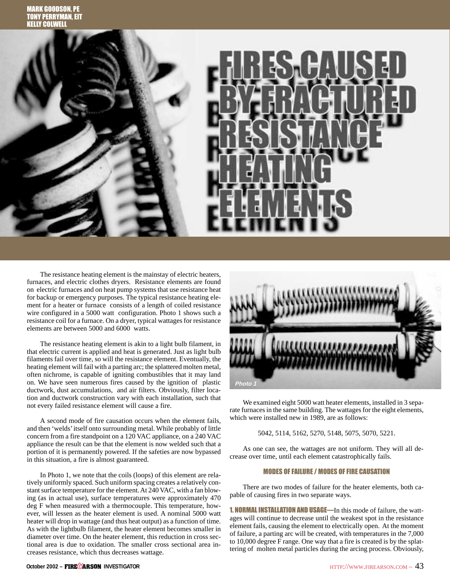

The resistance heating element is the mainstay of electric heaters, furnaces, and electric clothes dryers. Resistance elements are found on electric furnaces and on heat pump systems that use resistance heat for backup or emergency purposes. The typical resistance heating element for a heater or furnace consists of a length of coiled resistance wire configured in a 5000 watt configuration. Photo 1 shows such a resistance coil for a furnace. On a dryer, typical wattages for resistance elements are between 5000 and 6000 watts.

The resistance heating element is akin to a light bulb filament, in that electric current is applied and heat is generated. Just as light bulb filaments fail over time, so will the resistance element. Eventually, the heating element will fail with a parting arc; the splattered molten metal, often nichrome, is capable of igniting combustibles that it may land on. We have seen numerous fires caused by the ignition of plastic ductwork, dust accumulations, and air filters. Obviously, filter location and ductwork construction vary with each installation, such that not every failed resistance element will cause a fire.

A second mode of fire causation occurs when the element fails, and then 'welds' itself onto surrounding metal. While probably of little concern from a fire standpoint on a 120 VAC appliance, on a 240 VAC appliance the result can be that the element is now welded such that a portion of it is permanently powered. If the safeties are now bypassed in this situation, a fire is almost guaranteed.

In Photo 1, we note that the coils (loops) of this element are relatively uniformly spaced. Such uniform spacing creates a relatively constant surface temperature for the element. At 240 VAC, with a fan blowing (as in actual use), surface temperatures were approximately 470 deg F when measured with a thermocouple. This temperature, however, will lessen as the heater element is used. A nominal 5000 watt heater will drop in wattage (and thus heat output) as a function of time. As with the lightbulb filament, the heater element becomes smaller in diameter over time. On the heater element, this reduction in cross sectional area is due to oxidation. The smaller cross sectional area increases resistance, which thus decreases wattage.



We examined eight 5000 watt heater elements, installed in 3 separate furnaces in the same building. The wattages for the eight elements, which were installed new in 1989, are as follows:

5042, 5114, 5162, 5270, 5148, 5075, 5070, 5221.

As one can see, the wattages are not uniform. They will all decrease over time, until each element catastrophically fails.

## MODES OF FAILURE / MODES OF FIRE CAUSATION

There are two modes of failure for the heater elements, both capable of causing fires in two separate ways.

1. NORMAL INSTALLATION AND USAGE—In this mode of failure, the wattages will continue to decrease until the weakest spot in the resistance element fails, causing the element to electrically open. At the moment of failure, a parting arc will be created, with temperatures in the 7,000 to 10,000 degree F range. One way that a fire is created is by the splattering of molten metal particles during the arcing process. Obviously,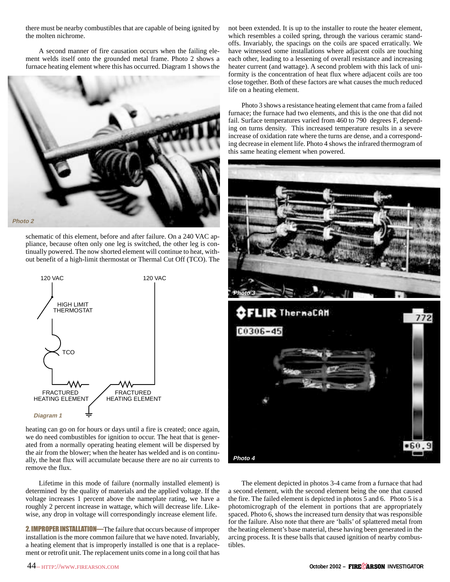there must be nearby combustibles that are capable of being ignited by the molten nichrome.

A second manner of fire causation occurs when the failing element welds itself onto the grounded metal frame. Photo 2 shows a furnace heating element where this has occurred. Diagram 1 shows the



schematic of this element, before and after failure. On a 240 VAC appliance, because often only one leg is switched, the other leg is continually powered. The now shorted element will continue to heat, without benefit of a high-limit thermostat or Thermal Cut Off (TCO). The



heating can go on for hours or days until a fire is created; once again, we do need combustibles for ignition to occur. The heat that is generated from a normally operating heating element will be dispersed by the air from the blower; when the heater has welded and is on continually, the heat flux will accumulate because there are no air currents to remove the flux.

Lifetime in this mode of failure (normally installed element) is determined by the quality of materials and the applied voltage. If the voltage increases 1 percent above the nameplate rating, we have a roughly 2 percent increase in wattage, which will decrease life. Likewise, any drop in voltage will correspondingly increase element life.

2. IMPROPER INSTALLATION—The failure that occurs because of improper installation is the more common failure that we have noted. Invariably, a heating element that is improperly installed is one that is a replacement or retrofit unit. The replacement units come in a long coil that has

not been extended. It is up to the installer to route the heater element, which resembles a coiled spring, through the various ceramic standoffs. Invariably, the spacings on the coils are spaced erratically. We have witnessed some installations where adjacent coils are touching each other, leading to a lessening of overall resistance and increasing heater current (and wattage). A second problem with this lack of uniformity is the concentration of heat flux where adjacent coils are too close together. Both of these factors are what causes the much reduced life on a heating element.

Photo 3 shows a resistance heating element that came from a failed furnace; the furnace had two elements, and this is the one that did not fail. Surface temperatures varied from 460 to 790 degrees F, depending on turns density. This increased temperature results in a severe increase of oxidation rate where the turns are dense, and a corresponding decrease in element life. Photo 4 shows the infrared thermogram of this same heating element when powered.



The element depicted in photos 3-4 came from a furnace that had a second element, with the second element being the one that caused the fire. The failed element is depicted in photos 5 and 6. Photo 5 is a photomicrograph of the element in portions that are appropriately spaced. Photo 6, shows the increased turn density that was responsible for the failure. Also note that there are 'balls' of splattered metal from the heating element's base material, these having been generated in the arcing process. It is these balls that caused ignition of nearby combustibles.